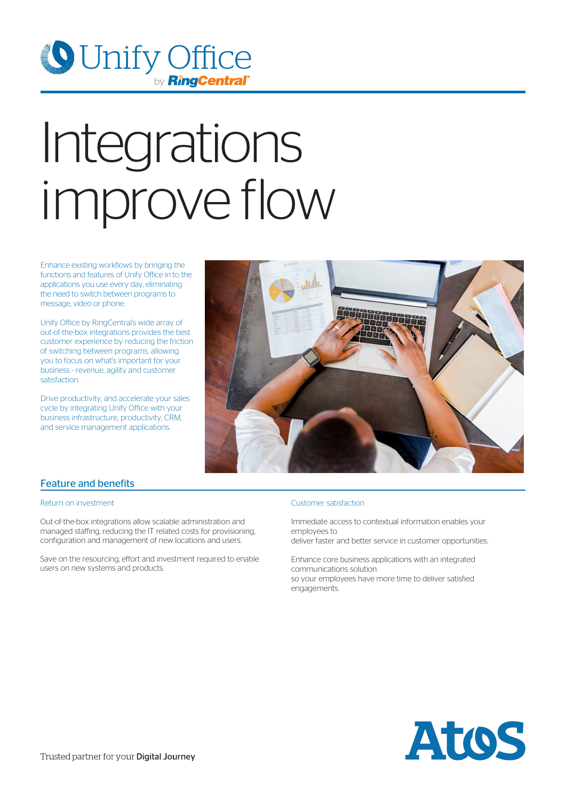

# Integrations improve flow

Enhance existing workflows by bringing the functions and features of Unify Office in to the applications you use every day, eliminating the need to switch between programs to message, video or phone.

Unify Office by RingCentral's wide array of out-of-the-box integrations provides the best customer experience by reducing the friction of switching between programs, allowing you to focus on what's important for your business - revenue, agility and customer satisfaction.

Drive productivity, and accelerate your sales cycle by integrating Unify Office with your business infrastructure, productivity, CRM, and service management applications.



### Feature and benefits

#### Return on investment

Out-of-the-box integrations allow scalable administration and managed staffing, reducing the IT related costs for provisioning, configuration and management of new locations and users.

Save on the resourcing, effort and investment required to enable users on new systems and products.

#### Customer satisfaction

Immediate access to contextual information enables your employees to

deliver faster and better service in customer opportunities.

Enhance core business applications with an integrated communications solution so your employees have more time to deliver satisfied engagements.